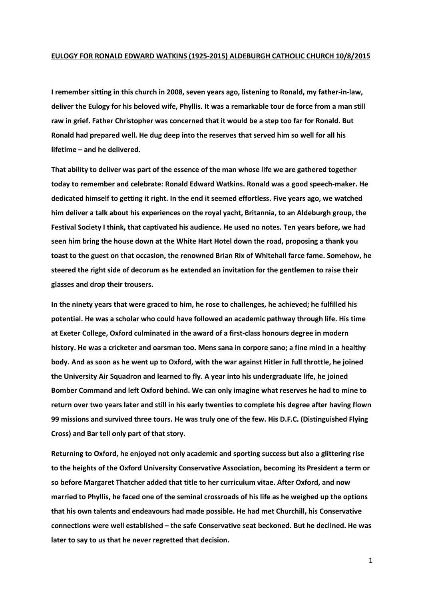## **EULOGY FOR RONALD EDWARD WATKINS (1925-2015) ALDEBURGH CATHOLIC CHURCH 10/8/2015**

**I remember sitting in this church in 2008, seven years ago, listening to Ronald, my father-in-law, deliver the Eulogy for his beloved wife, Phyllis. It was a remarkable tour de force from a man still raw in grief. Father Christopher was concerned that it would be a step too far for Ronald. But Ronald had prepared well. He dug deep into the reserves that served him so well for all his lifetime – and he delivered.**

**That ability to deliver was part of the essence of the man whose life we are gathered together today to remember and celebrate: Ronald Edward Watkins. Ronald was a good speech-maker. He dedicated himself to getting it right. In the end it seemed effortless. Five years ago, we watched him deliver a talk about his experiences on the royal yacht, Britannia, to an Aldeburgh group, the Festival Society I think, that captivated his audience. He used no notes. Ten years before, we had seen him bring the house down at the White Hart Hotel down the road, proposing a thank you toast to the guest on that occasion, the renowned Brian Rix of Whitehall farce fame. Somehow, he steered the right side of decorum as he extended an invitation for the gentlemen to raise their glasses and drop their trousers.** 

**In the ninety years that were graced to him, he rose to challenges, he achieved; he fulfilled his potential. He was a scholar who could have followed an academic pathway through life. His time at Exeter College, Oxford culminated in the award of a first-class honours degree in modern history. He was a cricketer and oarsman too. Mens sana in corpore sano; a fine mind in a healthy body. And as soon as he went up to Oxford, with the war against Hitler in full throttle, he joined the University Air Squadron and learned to fly. A year into his undergraduate life, he joined Bomber Command and left Oxford behind. We can only imagine what reserves he had to mine to return over two years later and still in his early twenties to complete his degree after having flown 99 missions and survived three tours. He was truly one of the few. His D.F.C. (Distinguished Flying Cross) and Bar tell only part of that story.** 

**Returning to Oxford, he enjoyed not only academic and sporting success but also a glittering rise to the heights of the Oxford University Conservative Association, becoming its President a term or so before Margaret Thatcher added that title to her curriculum vitae. After Oxford, and now married to Phyllis, he faced one of the seminal crossroads of his life as he weighed up the options that his own talents and endeavours had made possible. He had met Churchill, his Conservative connections were well established – the safe Conservative seat beckoned. But he declined. He was later to say to us that he never regretted that decision.**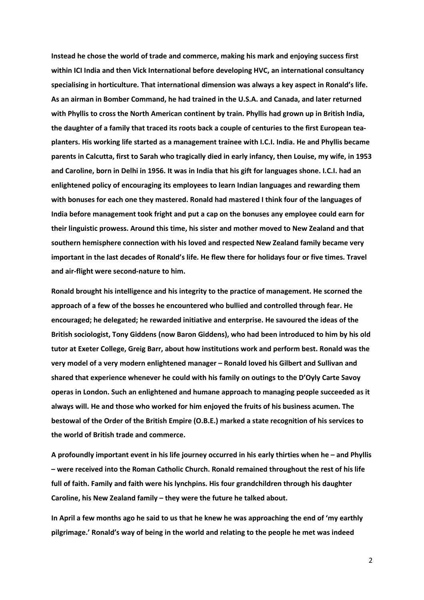**Instead he chose the world of trade and commerce, making his mark and enjoying success first within ICI India and then Vick International before developing HVC, an international consultancy specialising in horticulture. That international dimension was always a key aspect in Ronald's life. As an airman in Bomber Command, he had trained in the U.S.A. and Canada, and later returned with Phyllis to cross the North American continent by train. Phyllis had grown up in British India, the daughter of a family that traced its roots back a couple of centuries to the first European teaplanters. His working life started as a management trainee with I.C.I. India. He and Phyllis became parents in Calcutta, first to Sarah who tragically died in early infancy, then Louise, my wife, in 1953 and Caroline, born in Delhi in 1956. It was in India that his gift for languages shone. I.C.I. had an enlightened policy of encouraging its employees to learn Indian languages and rewarding them with bonuses for each one they mastered. Ronald had mastered I think four of the languages of India before management took fright and put a cap on the bonuses any employee could earn for their linguistic prowess. Around this time, his sister and mother moved to New Zealand and that southern hemisphere connection with his loved and respected New Zealand family became very important in the last decades of Ronald's life. He flew there for holidays four or five times. Travel and air-flight were second-nature to him.** 

**Ronald brought his intelligence and his integrity to the practice of management. He scorned the approach of a few of the bosses he encountered who bullied and controlled through fear. He encouraged; he delegated; he rewarded initiative and enterprise. He savoured the ideas of the British sociologist, Tony Giddens (now Baron Giddens), who had been introduced to him by his old tutor at Exeter College, Greig Barr, about how institutions work and perform best. Ronald was the very model of a very modern enlightened manager – Ronald loved his Gilbert and Sullivan and shared that experience whenever he could with his family on outings to the D'Oyly Carte Savoy operas in London. Such an enlightened and humane approach to managing people succeeded as it always will. He and those who worked for him enjoyed the fruits of his business acumen. The bestowal of the Order of the British Empire (O.B.E.) marked a state recognition of his services to the world of British trade and commerce.**

**A profoundly important event in his life journey occurred in his early thirties when he – and Phyllis – were received into the Roman Catholic Church. Ronald remained throughout the rest of his life full of faith. Family and faith were his lynchpins. His four grandchildren through his daughter Caroline, his New Zealand family – they were the future he talked about.** 

**In April a few months ago he said to us that he knew he was approaching the end of 'my earthly pilgrimage.' Ronald's way of being in the world and relating to the people he met was indeed** 

2